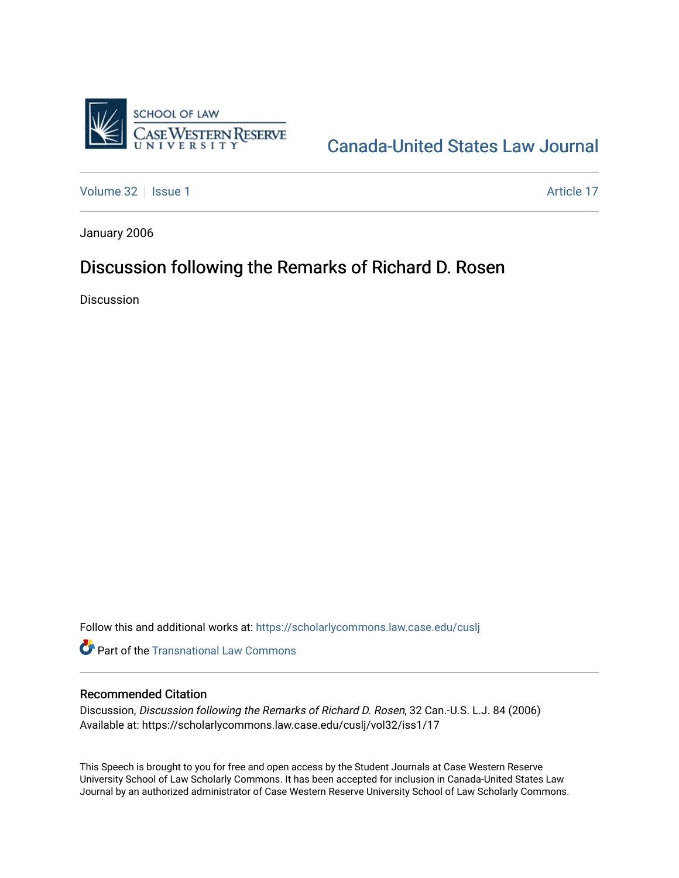

## [Canada-United States Law Journal](https://scholarlycommons.law.case.edu/cuslj)

[Volume 32](https://scholarlycommons.law.case.edu/cuslj/vol32) | [Issue 1](https://scholarlycommons.law.case.edu/cuslj/vol32/iss1) Article 17

January 2006

## Discussion following the Remarks of Richard D. Rosen

**Discussion** 

Follow this and additional works at: [https://scholarlycommons.law.case.edu/cuslj](https://scholarlycommons.law.case.edu/cuslj?utm_source=scholarlycommons.law.case.edu%2Fcuslj%2Fvol32%2Fiss1%2F17&utm_medium=PDF&utm_campaign=PDFCoverPages)

**Part of the [Transnational Law Commons](http://network.bepress.com/hgg/discipline/1123?utm_source=scholarlycommons.law.case.edu%2Fcuslj%2Fvol32%2Fiss1%2F17&utm_medium=PDF&utm_campaign=PDFCoverPages)** 

## Recommended Citation

Discussion, Discussion following the Remarks of Richard D. Rosen, 32 Can.-U.S. L.J. 84 (2006) Available at: https://scholarlycommons.law.case.edu/cuslj/vol32/iss1/17

This Speech is brought to you for free and open access by the Student Journals at Case Western Reserve University School of Law Scholarly Commons. It has been accepted for inclusion in Canada-United States Law Journal by an authorized administrator of Case Western Reserve University School of Law Scholarly Commons.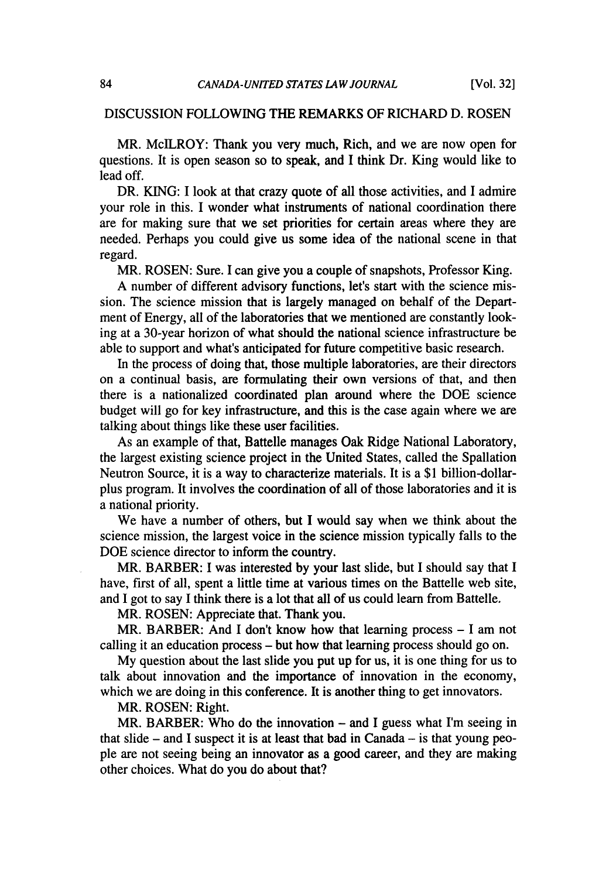## DISCUSSION FOLLOWING THE REMARKS OF RICHARD D. ROSEN

MR. McILROY: Thank you very much, Rich, and we are now open for questions. It is open season so to speak, and I think Dr. King would like to lead off.

DR. KING: I look at that crazy quote of all those activities, and I admire your role in this. I wonder what instruments of national coordination there are for making sure that we set priorities for certain areas where they are needed. Perhaps you could give us some idea of the national scene in that regard.

MR. ROSEN: Sure. I can give you a couple of snapshots, Professor King.

A number of different advisory functions, let's start with the science mission. The science mission that is largely managed on behalf of the Department of Energy, all of the laboratories that we mentioned are constantly looking at a 30-year horizon of what should the national science infrastructure be able to support and what's anticipated for future competitive basic research.

In the process of doing that, those multiple laboratories, are their directors on a continual basis, are formulating their own versions of that, and then there is a nationalized coordinated plan around where the DOE science budget will go for key infrastructure, and this is the case again where we are talking about things like these user facilities.

As an example of that, Battelle manages Oak Ridge National Laboratory, the largest existing science project in the United States, called the Spallation Neutron Source, it is a way to characterize materials. It is a \$1 billion-dollarplus program. It involves the coordination of all of those laboratories and it is a national priority.

We have a number of others, but I would say when we think about the science mission, the largest voice in the science mission typically falls to the DOE science director to inform the country.

MR. BARBER: I was interested by your last slide, but I should say that I have, first of all, spent a little time at various times on the Battelle web site, and I got to say I think there is a lot that all of us could learn from Battelle.

MR. ROSEN: Appreciate that. Thank you.

MR. BARBER: And I don't know how that learning process - I am not calling it an education process - but how that learning process should go on.

My question about the last slide you put up for us, it is one thing for us to talk about innovation and the importance of innovation in the economy, which we are doing in this conference. It is another thing to get innovators.

MR. ROSEN: Right.

MR. BARBER: Who do the innovation - and I guess what I'm seeing in that slide  $-$  and I suspect it is at least that bad in Canada  $-$  is that young people are not seeing being an innovator as a good career, and they are making other choices. What do you do about that?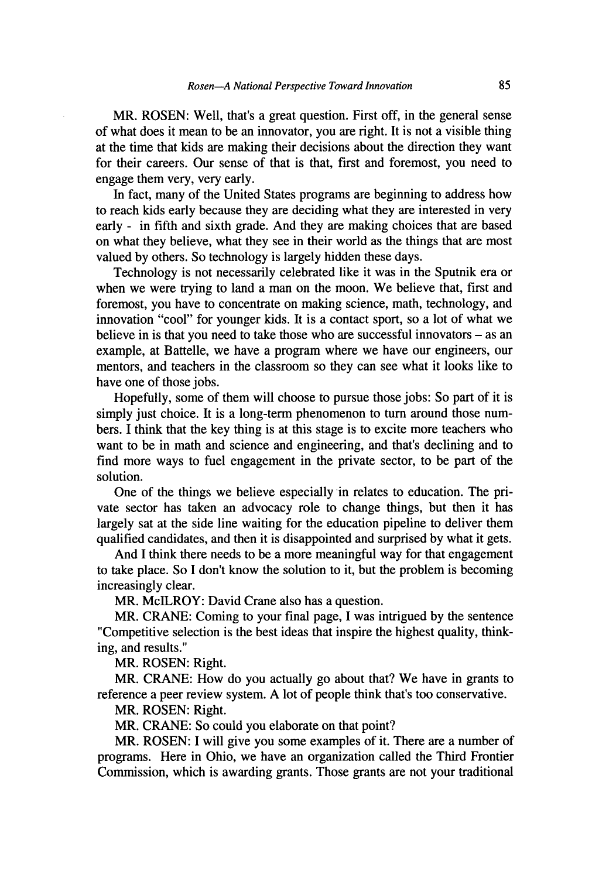MR. **ROSEN:** Well, that's a great question. First off, in the general sense of what does it mean to be an innovator, you are right. It is not a visible thing at the time that kids are making their decisions about the direction they want for their careers. Our sense of that is that, first and foremost, you need to engage them very, very early.

In fact, many of the United States programs are beginning to address how to reach kids early because they are deciding what they are interested in very early - in fifth and sixth grade. And they are making choices that are based on what they believe, what they see in their world as the things that are most valued by others. So technology is largely hidden these days.

Technology is not necessarily celebrated like it was in the Sputnik era or when we were trying to land a man on the moon. We believe that, first and foremost, you have to concentrate on making science, math, technology, and innovation "cool" for younger kids. It is a contact sport, so a lot of what we believe in is that you need to take those who are successful innovators - as an example, at Battelle, we have a program where we have our engineers, our mentors, and teachers in the classroom so they can see what it looks like to have one of those jobs.

Hopefully, some of them will choose to pursue those jobs: So part of it is simply just choice. It is a long-term phenomenon to turn around those numbers. I think that the key thing is at this stage is to excite more teachers who want to be in math and science and engineering, and that's declining and to find more ways to fuel engagement in the private sector, to be part of the solution.

One of the things we believe especially in relates to education. The private sector has taken an advocacy role to change things, but then it has largely sat at the side line waiting for the education pipeline to deliver them qualified candidates, and then it is disappointed and surprised by what it gets.

And I think there needs to be a more meaningful way for that engagement to take place. So I don't know the solution to it, but the problem is becoming increasingly clear.

MR. McILROY: David Crane also has a question.

MR. CRANE: Coming to your final page, I was intrigued by the sentence "Competitive selection is the best ideas that inspire the highest quality, thinking, and results."

MR. **ROSEN:** Right.

MR. CRANE: How do you actually go about that? We have in grants to reference a peer review system. A lot of people think that's too conservative.

MR. **ROSEN:** Right.

MR. CRANE: So could you elaborate on that point?

MR. **ROSEN:** I will give you some examples of it. There are a number of programs. Here in Ohio, we have an organization called the Third Frontier Commission, which is awarding grants. Those grants are not your traditional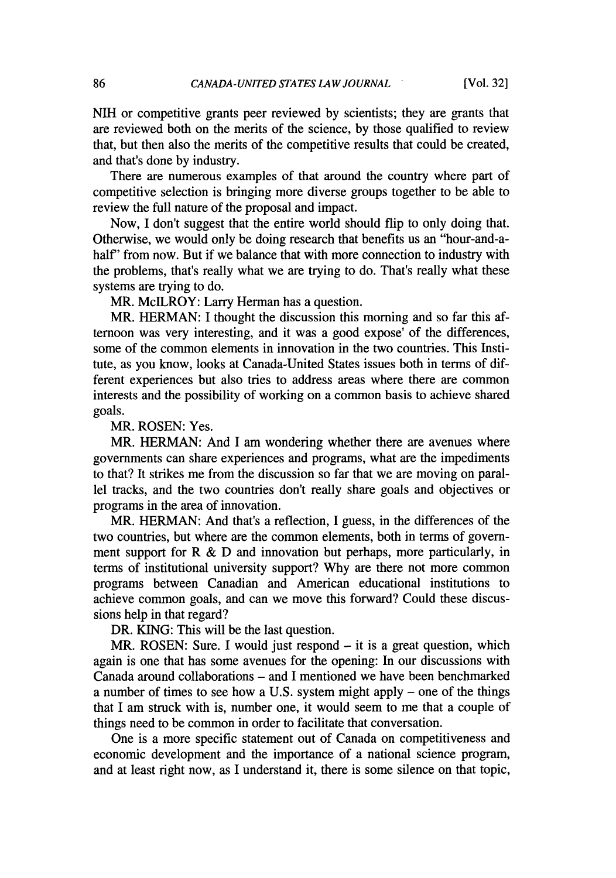NIH or competitive grants peer reviewed by scientists; they are grants that are reviewed both on the merits of the science, by those qualified to review that, but then also the merits of the competitive results that could be created, and that's done by industry.

There are numerous examples of that around the country where part of competitive selection is bringing more diverse groups together to be able to review the full nature of the proposal and impact.

Now, I don't suggest that the entire world should flip to only doing that. Otherwise, we would only be doing research that benefits us an "hour-and-ahalf' from now. But if we balance that with more connection to industry with the problems, that's really what we are trying to do. That's really what these systems are trying to do.

MR. McILROY: Larry Herman has a question.

MR. HERMAN: I thought the discussion this morning and so far this afternoon was very interesting, and it was a good expose' of the differences, some of the common elements in innovation in the two countries. This Institute, as you know, looks at Canada-United States issues both in terms of different experiences but also tries to address areas where there are common interests and the possibility of working on a common basis to achieve shared goals.

MR. ROSEN: Yes.

MR. HERMAN: And I am wondering whether there are avenues where governments can share experiences and programs, what are the impediments to that? It strikes me from the discussion so far that we are moving on parallel tracks, and the two countries don't really share goals and objectives or programs in the area of innovation.

MR. HERMAN: And that's a reflection, I guess, in the differences of the two countries, but where are the common elements, both in terms of government support for  $R \& D$  and innovation but perhaps, more particularly, in terms of institutional university support? Why are there not more common programs between Canadian and American educational institutions to achieve common goals, and can we move this forward? Could these discussions help in that regard?

DR. KING: This will be the last question.

MR. ROSEN: Sure. I would just respond  $-$  it is a great question, which again is one that has some avenues for the opening: In our discussions with Canada around collaborations - and I mentioned we have been benchmarked a number of times to see how a U.S. system might apply - one of the things that I am struck with is, number one, it would seem to me that a couple of things need to be common in order to facilitate that conversation.

One is a more specific statement out of Canada on competitiveness and economic development and the importance of a national science program, and at least right now, as I understand it, there is some silence on that topic,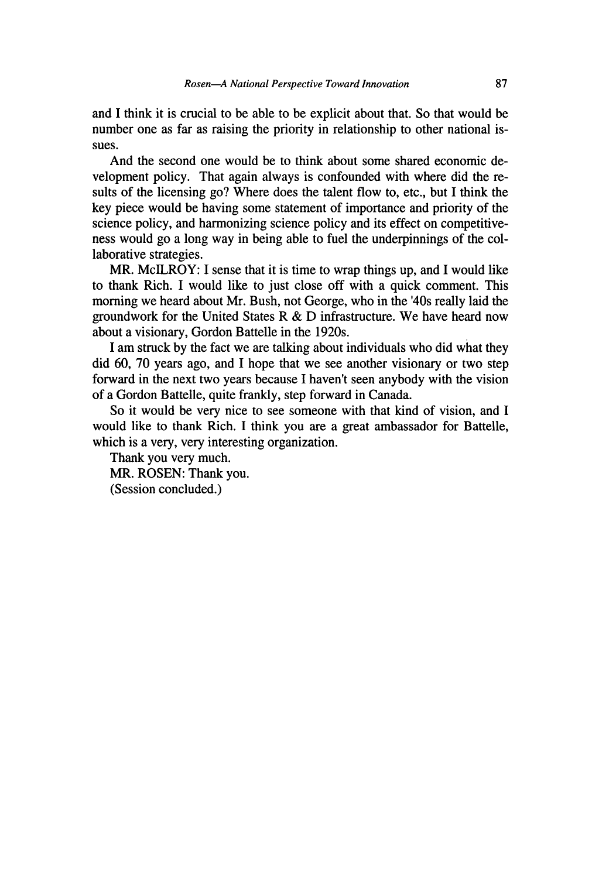and I think it is crucial to be able to be explicit about that. So that would be number one as far as raising the priority in relationship to other national issues.

And the second one would be to think about some shared economic development policy. That again always is confounded with where did the results of the licensing go? Where does the talent flow to, etc., but I think the key piece would be having some statement of importance and priority of the science policy, and harmonizing science policy and its effect on competitiveness would go a long way in being able to fuel the underpinnings of the collaborative strategies.

MR. MclLROY: I sense that it is time to wrap things up, and I would like to thank Rich. I would like to just close off with a quick comment. This morning we heard about Mr. Bush, not George, who in the '40s really laid the groundwork for the United States R & D infrastructure. We have heard now about a visionary, Gordon Battelle in the 1920s.

I am struck by the fact we are talking about individuals who did what they did 60, 70 years ago, and I hope that we see another visionary or two step forward in the next two years because I haven't seen anybody with the vision of a Gordon Battelle, quite frankly, step forward in Canada.

So it would be very nice to see someone with that kind of vision, and I would like to thank Rich. I think you are a great ambassador for Battelle, which is a very, very interesting organization.

Thank you very much. MR. ROSEN: Thank you. (Session concluded.)